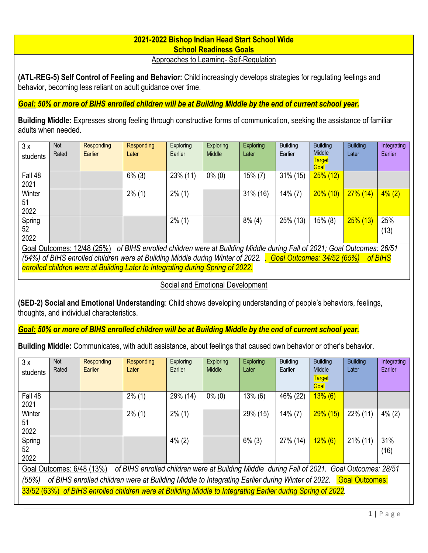### **2021-2022 Bishop Indian Head Start School Wide School Readiness Goals**

Approaches to Learning- Self-Regulation

**(ATL-REG-5) Self Control of Feeling and Behavior:** Child increasingly develops strategies for regulating feelings and behavior, becoming less reliant on adult guidance over time.

#### *Goal: 50% or more of BIHS enrolled children will be at Building Middle by the end of current school year.*

**Building Middle:** Expresses strong feeling through constructive forms of communication, seeking the assistance of familiar adults when needed.

| 3x<br>students       | <b>Not</b><br>Rated | Responding<br>Earlier        | Responding<br>Later                                                                         | Exploring<br>Earlier | <b>Exploring</b><br>Middle | <b>Exploring</b><br>Later | <b>Building</b><br>Earlier | <b>Building</b><br>Middle<br><b>Target</b><br>Goal | <b>Building</b><br>Later | Integrating<br>Earlier |
|----------------------|---------------------|------------------------------|---------------------------------------------------------------------------------------------|----------------------|----------------------------|---------------------------|----------------------------|----------------------------------------------------|--------------------------|------------------------|
| Fall 48<br>2021      |                     |                              | $6\%$ (3)                                                                                   | 23% (11)             | $0\%$ (0)                  | $15\%$ (7)                | 31% (15)                   | $25\%$ (12)                                        |                          |                        |
| Winter<br>51<br>2022 |                     |                              | $2\%$ (1)                                                                                   | $2\%$ (1)            |                            | 31% (16)                  | $14\%$ (7)                 | $20\%$ (10)                                        | $27\%$ (14)              | $4\%$ (2)              |
| Spring<br>52<br>2022 |                     |                              |                                                                                             | $2\%$ (1)            |                            | $8\%$ (4)                 | 25% (13)                   | $15\%$ (8)                                         | $25\%$ (13)              | 25%<br>(13)            |
|                      |                     | Goal Outcomes: $12/48$ (25%) | of RIHS enrolled children were at Ruilding Middle during Fall of 2021; Goal Outcomes: 26/51 |                      |                            |                           |                            |                                                    |                          |                        |

of BIHS enrolled children were at Building Middle during Fall of 2021; Goal Outcomes: 2021; Goal Outcomes: 2011 *(54%) of BIHS enrolled children were at Building Middle during Winter of 2022. . Goal Outcomes: 34/52 (65%) of BIHS enrolled children were at Building Later to Integrating during Spring of 2022.* 

#### Social and Emotional Development

**(SED-2) Social and Emotional Understanding**: Child shows developing understanding of people's behaviors, feelings, thoughts, and individual characteristics.

*Goal: 50% or more of BIHS enrolled children will be at Building Middle by the end of current school year.* 

**Building Middle:** Communicates, with adult assistance, about feelings that caused own behavior or other's behavior.

| 3x                                                                                                                       | <b>Not</b> | Responding | Responding                                                                                                  | <b>Exploring</b> | <b>Exploring</b> | <b>Exploring</b> | <b>Building</b> | <b>Building</b> | <b>Building</b> | Integrating |
|--------------------------------------------------------------------------------------------------------------------------|------------|------------|-------------------------------------------------------------------------------------------------------------|------------------|------------------|------------------|-----------------|-----------------|-----------------|-------------|
| students                                                                                                                 | Rated      | Earlier    | Later                                                                                                       | Earlier          | Middle           | Later            | Earlier         | Middle          | Later           | Earlier     |
|                                                                                                                          |            |            |                                                                                                             |                  |                  |                  |                 | <b>Target</b>   |                 |             |
|                                                                                                                          |            |            |                                                                                                             |                  |                  |                  |                 | Goal            |                 |             |
| Fall 48                                                                                                                  |            |            | $2\%$ (1)                                                                                                   | 29% (14)         | $0\%$ (0)        | $13\%$ (6)       | 46% (22)        | $13\%$ (6)      |                 |             |
| 2021                                                                                                                     |            |            |                                                                                                             |                  |                  |                  |                 |                 |                 |             |
| Winter                                                                                                                   |            |            | $2\%$ (1)                                                                                                   | $2\%$ (1)        |                  | 29% (15)         | $14\%$ (7)      | $29\%$ (15)     | 22% (11)        | $4\%$ (2)   |
| 51                                                                                                                       |            |            |                                                                                                             |                  |                  |                  |                 |                 |                 |             |
| 2022                                                                                                                     |            |            |                                                                                                             |                  |                  |                  |                 |                 |                 |             |
| Spring                                                                                                                   |            |            |                                                                                                             | $4\%$ (2)        |                  | $6\%$ (3)        | 27% (14)        | $12\%$ (6)      | $21\%$ (11)     | 31%         |
| 52                                                                                                                       |            |            |                                                                                                             |                  |                  |                  |                 |                 |                 | (16)        |
| 2022                                                                                                                     |            |            |                                                                                                             |                  |                  |                  |                 |                 |                 |             |
| of BIHS enrolled children were at Building Middle during Fall of 2021. Goal Outcomes: 28/51<br>Goal Outcomes: 6/48 (13%) |            |            |                                                                                                             |                  |                  |                  |                 |                 |                 |             |
| of BIHS enrolled children were at Building Middle to Integrating Earlier during Winter of 2022. Goal Outcomes:<br>(55%)  |            |            |                                                                                                             |                  |                  |                  |                 |                 |                 |             |
|                                                                                                                          |            |            | 33/52 (63%) of BIHS enrolled children were at Building Middle to Integrating Earlier during Spring of 2022. |                  |                  |                  |                 |                 |                 |             |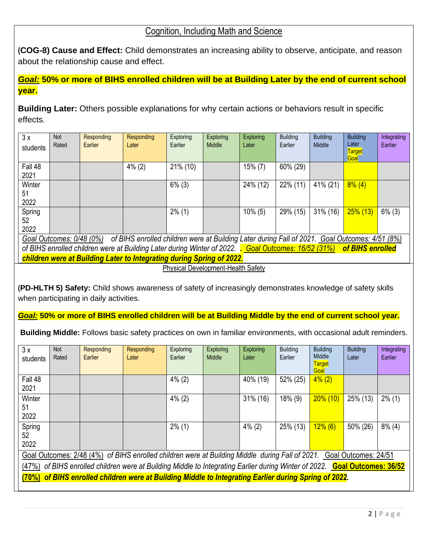### Cognition, Including Math and Science

**(COG-8) Cause and Effect:** Child demonstrates an increasing ability to observe, anticipate, and reason about the relationship cause and effect.

*Goal:* **50% or more of BIHS enrolled children will be at Building Later by the end of current school year.** 

**Building Later:** Others possible explanations for why certain actions or behaviors result in specific effects.

| 3x<br>students       | <b>Not</b><br>Rated      | Responding<br>Earlier | Responding<br>Later                                                                            | Exploring<br>Earlier | Exploring<br>Middle | Exploring<br>Later | <b>Building</b><br>Earlier | <b>Building</b><br>Middle | <b>Building</b><br>Later<br><b>Target</b><br>Goal | Integrating<br>Earlier |
|----------------------|--------------------------|-----------------------|------------------------------------------------------------------------------------------------|----------------------|---------------------|--------------------|----------------------------|---------------------------|---------------------------------------------------|------------------------|
| Fall 48<br>2021      |                          |                       | $4\%$ (2)                                                                                      | 21% (10)             |                     | $15\%$ (7)         | 60% (29)                   |                           |                                                   |                        |
| Winter<br>51<br>2022 |                          |                       |                                                                                                | $6\%$ (3)            |                     | 24% (12)           | $22\%$ (11)                | 41% (21)                  | $8\%$ (4)                                         |                        |
| Spring<br>52<br>2022 |                          |                       |                                                                                                | $2\%$ (1)            |                     | $10\%$ (5)         | 29% (15)                   | 31% (16)                  | $25\%$ (13)                                       | $6\%$ (3)              |
|                      | Goal Outcomes: 0/48 (0%) |                       | of BIHS enrolled children were at Building Later during Fall of 2021. Goal Outcomes: 4/51 (8%) |                      |                     |                    |                            |                           |                                                   |                        |

*of BIHS enrolled children were at Building Later during Winter of 2022. . Goal Outcomes: 16/52 (31%) of BIHS enrolled children were at Building Later to Integrating during Spring of 2022.* 

Physical Development-Health Safety

**(PD-HLTH 5) Safety:** Child shows awareness of safety of increasingly demonstrates knowledge of safety skills when participating in daily activities.

*Goal:* **50% or more of BIHS enrolled children will be at Building Middle by the end of current school year.** 

**Building Middle:** Follows basic safety practices on own in familiar environments, with occasional adult reminders.

| 3x<br>students                                                                                                             | <b>Not</b><br>Rated                                                                                   | Responding<br>Earlier | Responding<br>Later | Exploring<br>Earlier | <b>Exploring</b><br>Middle | <b>Exploring</b><br>Later | <b>Building</b><br>Earlier | <b>Building</b><br>Middle<br><b>Target</b><br>Goal | <b>Building</b><br>Later | Integrating<br>Earlier |
|----------------------------------------------------------------------------------------------------------------------------|-------------------------------------------------------------------------------------------------------|-----------------------|---------------------|----------------------|----------------------------|---------------------------|----------------------------|----------------------------------------------------|--------------------------|------------------------|
| Fall 48<br>2021                                                                                                            |                                                                                                       |                       |                     | $4\%$ (2)            |                            | 40% (19)                  | 52% (25)                   | $4\%$ (2)                                          |                          |                        |
| Winter<br>51<br>2022                                                                                                       |                                                                                                       |                       |                     | $4\%$ (2)            |                            | 31% (16)                  | $18\%$ (9)                 | $20\%$ (10)                                        | 25% (13)                 | $2\%$ (1)              |
| Spring<br>52<br>2022                                                                                                       |                                                                                                       |                       |                     | $2\%$ (1)            |                            | $4\%$ (2)                 | 25% (13)                   | $12\%$ (6)                                         | 50% (26)                 | $8\%$ (4)              |
| Goal Outcomes: 2/48 (4%) of BIHS enrolled children were at Building Middle during Fall of 2021. Goal Outcomes: 24/51       |                                                                                                       |                       |                     |                      |                            |                           |                            |                                                    |                          |                        |
| (47%) of BIHS enrolled children were at Building Middle to Integrating Earlier during Winter of 2022. Goal Outcomes: 36/52 |                                                                                                       |                       |                     |                      |                            |                           |                            |                                                    |                          |                        |
|                                                                                                                            | (70%) of BIHS enrolled children were at Building Middle to Integrating Earlier during Spring of 2022. |                       |                     |                      |                            |                           |                            |                                                    |                          |                        |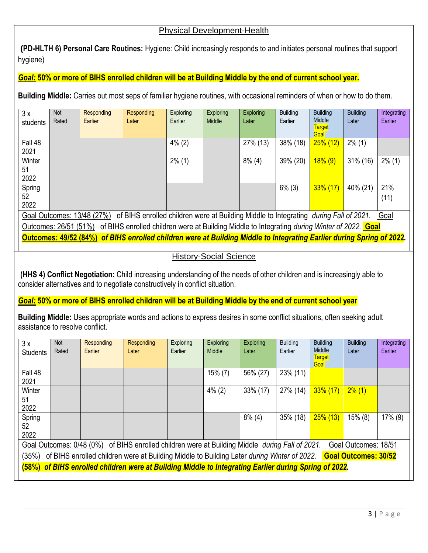#### Physical Development-Health

**(PD-HLTH 6) Personal Care Routines:** Hygiene: Child increasingly responds to and initiates personal routines that support hygiene)

#### *Goal:* **50% or more of BIHS enrolled children will be at Building Middle by the end of current school year.**

**Building Middle:** Carries out most seps of familiar hygiene routines, with occasional reminders of when or how to do them.

| 3x                                                                                                                       | Not                                                                                                                   | Responding | Responding | <b>Exploring</b> | <b>Exploring</b> | <b>Exploring</b> | <b>Building</b> | <b>Building</b>       | <b>Building</b> | Integrating |
|--------------------------------------------------------------------------------------------------------------------------|-----------------------------------------------------------------------------------------------------------------------|------------|------------|------------------|------------------|------------------|-----------------|-----------------------|-----------------|-------------|
| students                                                                                                                 | Rated                                                                                                                 | Earlier    | Later      | Earlier          | Middle           | Later            | Earlier         | Middle                | Later           | Earlier     |
|                                                                                                                          |                                                                                                                       |            |            |                  |                  |                  |                 | <b>Target</b><br>Goal |                 |             |
| Fall 48                                                                                                                  |                                                                                                                       |            |            | $4\%$ (2)        |                  | 27% (13)         | 38% (18)        | $25\%$ (12)           | $2\%$ (1)       |             |
| 2021                                                                                                                     |                                                                                                                       |            |            |                  |                  |                  |                 |                       |                 |             |
| Winter                                                                                                                   |                                                                                                                       |            |            | $2\%$ (1)        |                  | $8\%$ (4)        | 39% (20)        | $18\%$ (9)            | 31% (16)        | $2\%$ (1)   |
| 51                                                                                                                       |                                                                                                                       |            |            |                  |                  |                  |                 |                       |                 |             |
| 2022                                                                                                                     |                                                                                                                       |            |            |                  |                  |                  |                 |                       |                 |             |
| Spring                                                                                                                   |                                                                                                                       |            |            |                  |                  |                  | $6\%$ (3)       | $33\%$ (17)           | 40% (21)        | 21%         |
| 52                                                                                                                       |                                                                                                                       |            |            |                  |                  |                  |                 |                       |                 | (11)        |
| 2022                                                                                                                     |                                                                                                                       |            |            |                  |                  |                  |                 |                       |                 |             |
| Goal Outcomes: 13/48 (27%) of BIHS enrolled children were at Building Middle to Integrating during Fall of 2021.<br>Goal |                                                                                                                       |            |            |                  |                  |                  |                 |                       |                 |             |
| Outcomes: 26/51 (51%) of BIHS enrolled children were at Building Middle to Integrating during Winter of 2022. Goal       |                                                                                                                       |            |            |                  |                  |                  |                 |                       |                 |             |
|                                                                                                                          | Outcomes: 49/52 (84%) of BIHS enrolled children were at Building Middle to Integrating Earlier during Spring of 2022. |            |            |                  |                  |                  |                 |                       |                 |             |

#### History-Social Science

**(HHS 4) Conflict Negotiation:** Child increasing understanding of the needs of other children and is increasingly able to consider alternatives and to negotiate constructively in conflict situation.

#### *Goal:* **50% or more of BIHS enrolled children will be at Building Middle by the end of current school year**

**Building Middle:** Uses appropriate words and actions to express desires in some conflict situations, often seeking adult assistance to resolve conflict.

| 3x<br><b>Students</b>                                                                                                                                                                                                                                       | Not<br>Rated                                                                                          | Responding<br>Earlier | Responding<br>Later | Exploring<br>Earlier | <b>Exploring</b><br>Middle | <b>Exploring</b><br>Later | <b>Building</b><br>Earlier | <b>Building</b><br>Middle<br><b>Target</b><br>Goal | <b>Building</b><br>Later | Integrating<br>Earlier |
|-------------------------------------------------------------------------------------------------------------------------------------------------------------------------------------------------------------------------------------------------------------|-------------------------------------------------------------------------------------------------------|-----------------------|---------------------|----------------------|----------------------------|---------------------------|----------------------------|----------------------------------------------------|--------------------------|------------------------|
| Fall 48<br>2021                                                                                                                                                                                                                                             |                                                                                                       |                       |                     |                      | $15\%$ (7)                 | 56% (27)                  | 23% (11)                   |                                                    |                          |                        |
| Winter<br>51<br>2022                                                                                                                                                                                                                                        |                                                                                                       |                       |                     |                      | $4\%$ (2)                  | 33% (17)                  | 27% (14)                   | $33\%$ (17)                                        | $2\%$ (1)                |                        |
| Spring<br>52<br>2022                                                                                                                                                                                                                                        |                                                                                                       |                       |                     |                      |                            | $8\%$ (4)                 | 35% (18)                   | $25\%$ (13)                                        | $15\%$ (8)               | 17% (9)                |
| Goal Outcomes: 0/48 (0%) of BIHS enrolled children were at Building Middle <i>during Fall of 2021</i> .<br>Goal Outcomes: 18/51<br>of BIHS enrolled children were at Building Middle to Building Later during Winter of 2022. Goal Outcomes: 30/52<br>(35%) |                                                                                                       |                       |                     |                      |                            |                           |                            |                                                    |                          |                        |
|                                                                                                                                                                                                                                                             | (58%) of BIHS enrolled children were at Building Middle to Integrating Earlier during Spring of 2022. |                       |                     |                      |                            |                           |                            |                                                    |                          |                        |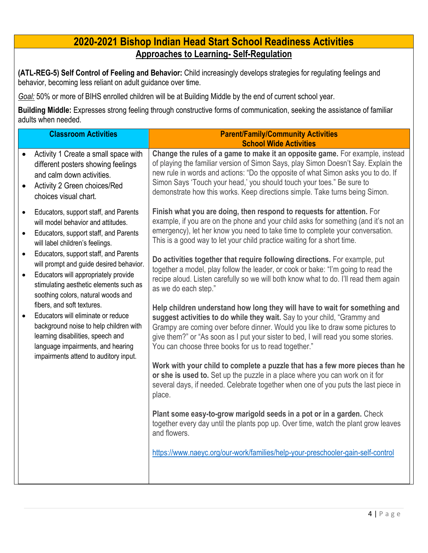# **2020-2021 Bishop Indian Head Start School Readiness Activities Approaches to Learning- Self-Regulation**

**(ATL-REG-5) Self Control of Feeling and Behavior:** Child increasingly develops strategies for regulating feelings and behavior, becoming less reliant on adult guidance over time.

*Goal:* 50% or more of BIHS enrolled children will be at Building Middle by the end of current school year.

**Building Middle:** Expresses strong feeling through constructive forms of communication, seeking the assistance of familiar adults when needed.

| <b>Classroom Activities</b>                                                                                                                                                                                                                                                                                                                                                                                                                                                                                                                                                                                                    | <b>Parent/Family/Community Activities</b><br><b>School Wide Activities</b>                                                                                                                                                                                                                                                                                                                                                                                                                                                                                                                                                                                                                                                                                                                                                                                                                                                                                                                                                                                                                                                                                                                                                                                                                                                                                                                                                                                                                                                              |
|--------------------------------------------------------------------------------------------------------------------------------------------------------------------------------------------------------------------------------------------------------------------------------------------------------------------------------------------------------------------------------------------------------------------------------------------------------------------------------------------------------------------------------------------------------------------------------------------------------------------------------|-----------------------------------------------------------------------------------------------------------------------------------------------------------------------------------------------------------------------------------------------------------------------------------------------------------------------------------------------------------------------------------------------------------------------------------------------------------------------------------------------------------------------------------------------------------------------------------------------------------------------------------------------------------------------------------------------------------------------------------------------------------------------------------------------------------------------------------------------------------------------------------------------------------------------------------------------------------------------------------------------------------------------------------------------------------------------------------------------------------------------------------------------------------------------------------------------------------------------------------------------------------------------------------------------------------------------------------------------------------------------------------------------------------------------------------------------------------------------------------------------------------------------------------------|
| Activity 1 Create a small space with<br>different posters showing feelings<br>and calm down activities.<br>Activity 2 Green choices/Red<br>$\bullet$<br>choices visual chart.                                                                                                                                                                                                                                                                                                                                                                                                                                                  | Change the rules of a game to make it an opposite game. For example, instead<br>of playing the familiar version of Simon Says, play Simon Doesn't Say. Explain the<br>new rule in words and actions: "Do the opposite of what Simon asks you to do. If<br>Simon Says 'Touch your head,' you should touch your toes." Be sure to<br>demonstrate how this works. Keep directions simple. Take turns being Simon.                                                                                                                                                                                                                                                                                                                                                                                                                                                                                                                                                                                                                                                                                                                                                                                                                                                                                                                                                                                                                                                                                                                          |
| Educators, support staff, and Parents<br>will model behavior and attitudes.<br>Educators, support staff, and Parents<br>$\bullet$<br>will label children's feelings.<br>Educators, support staff, and Parents<br>will prompt and guide desired behavior.<br>Educators will appropriately provide<br>$\bullet$<br>stimulating aesthetic elements such as<br>soothing colors, natural woods and<br>fibers, and soft textures.<br>Educators will eliminate or reduce<br>background noise to help children with<br>learning disabilities, speech and<br>language impairments, and hearing<br>impairments attend to auditory input. | Finish what you are doing, then respond to requests for attention. For<br>example, if you are on the phone and your child asks for something (and it's not an<br>emergency), let her know you need to take time to complete your conversation.<br>This is a good way to let your child practice waiting for a short time.<br>Do activities together that require following directions. For example, put<br>together a model, play follow the leader, or cook or bake: "I'm going to read the<br>recipe aloud. Listen carefully so we will both know what to do. I'll read them again<br>as we do each step."<br>Help children understand how long they will have to wait for something and<br>suggest activities to do while they wait. Say to your child, "Grammy and<br>Grampy are coming over before dinner. Would you like to draw some pictures to<br>give them?" or "As soon as I put your sister to bed, I will read you some stories.<br>You can choose three books for us to read together."<br>Work with your child to complete a puzzle that has a few more pieces than he<br>or she is used to. Set up the puzzle in a place where you can work on it for<br>several days, if needed. Celebrate together when one of you puts the last piece in<br>place.<br>Plant some easy-to-grow marigold seeds in a pot or in a garden. Check<br>together every day until the plants pop up. Over time, watch the plant grow leaves<br>and flowers.<br>https://www.naeyc.org/our-work/families/help-your-preschooler-gain-self-control |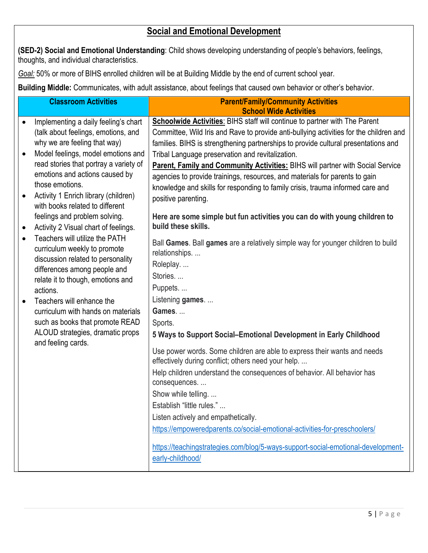# **Social and Emotional Development**

**(SED-2) Social and Emotional Understanding**: Child shows developing understanding of people's behaviors, feelings, thoughts, and individual characteristics.

*Goal:* 50% or more of BIHS enrolled children will be at Building Middle by the end of current school year.

**Building Middle:** Communicates, with adult assistance, about feelings that caused own behavior or other's behavior.

|           | <b>Classroom Activities</b>                                             | <b>Parent/Family/Community Activities</b><br><b>School Wide Activities</b>                                                      |
|-----------|-------------------------------------------------------------------------|---------------------------------------------------------------------------------------------------------------------------------|
| $\bullet$ | Implementing a daily feeling's chart                                    | <b>Schoolwide Activities:</b> BIHS staff will continue to partner with The Parent                                               |
|           | (talk about feelings, emotions, and                                     | Committee, Wild Iris and Rave to provide anti-bullying activities for the children and                                          |
|           | why we are feeling that way)                                            | families. BIHS is strengthening partnerships to provide cultural presentations and                                              |
|           | Model feelings, model emotions and                                      | Tribal Language preservation and revitalization.                                                                                |
|           | read stories that portray a variety of                                  | Parent, Family and Community Activities: BIHS will partner with Social Service                                                  |
|           | emotions and actions caused by                                          | agencies to provide trainings, resources, and materials for parents to gain                                                     |
|           | those emotions.                                                         | knowledge and skills for responding to family crisis, trauma informed care and                                                  |
|           | Activity 1 Enrich library (children)<br>with books related to different | positive parenting.                                                                                                             |
|           | feelings and problem solving.                                           | Here are some simple but fun activities you can do with young children to                                                       |
| $\bullet$ | Activity 2 Visual chart of feelings.                                    | build these skills.                                                                                                             |
|           | Teachers will utilize the PATH<br>curriculum weekly to promote          | Ball Games. Ball games are a relatively simple way for younger children to build<br>relationships                               |
|           | discussion related to personality<br>differences among people and       | Roleplay                                                                                                                        |
|           | relate it to though, emotions and                                       | Stories                                                                                                                         |
|           | actions.                                                                | Puppets                                                                                                                         |
|           | Teachers will enhance the                                               | Listening games                                                                                                                 |
|           | curriculum with hands on materials                                      | Games                                                                                                                           |
|           | such as books that promote READ                                         | Sports.                                                                                                                         |
|           | ALOUD strategies, dramatic props<br>and feeling cards.                  | 5 Ways to Support Social-Emotional Development in Early Childhood                                                               |
|           |                                                                         | Use power words. Some children are able to express their wants and needs<br>effectively during conflict; others need your help. |
|           |                                                                         | Help children understand the consequences of behavior. All behavior has<br>consequences                                         |
|           |                                                                         | Show while telling                                                                                                              |
|           |                                                                         | Establish "little rules."                                                                                                       |
|           |                                                                         | Listen actively and empathetically.                                                                                             |
|           |                                                                         | https://empoweredparents.co/social-emotional-activities-for-preschoolers/                                                       |
|           |                                                                         | https://teachingstrategies.com/blog/5-ways-support-social-emotional-development-<br>early-childhood/                            |
|           |                                                                         |                                                                                                                                 |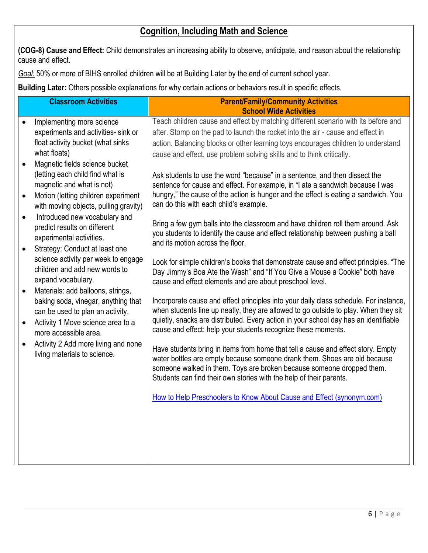# **Cognition, Including Math and Science**

**(COG-8) Cause and Effect:** Child demonstrates an increasing ability to observe, anticipate, and reason about the relationship cause and effect.

*Goal:* 50% or more of BIHS enrolled children will be at Building Later by the end of current school year.

**Building Later:** Others possible explanations for why certain actions or behaviors result in specific effects.

|           | <b>Classroom Activities</b>           | <b>Parent/Family/Community Activities</b>                                                                           |
|-----------|---------------------------------------|---------------------------------------------------------------------------------------------------------------------|
|           | Implementing more science             | <b>School Wide Activities</b><br>Teach children cause and effect by matching different scenario with its before and |
|           | experiments and activities- sink or   | after. Stomp on the pad to launch the rocket into the air - cause and effect in                                     |
|           | float activity bucket (what sinks     | action. Balancing blocks or other learning toys encourages children to understand                                   |
|           | what floats)                          | cause and effect, use problem solving skills and to think critically.                                               |
|           | Magnetic fields science bucket        |                                                                                                                     |
|           | (letting each child find what is      | Ask students to use the word "because" in a sentence, and then dissect the                                          |
|           | magnetic and what is not)             | sentence for cause and effect. For example, in "I ate a sandwich because I was                                      |
| $\bullet$ | Motion (letting children experiment   | hungry," the cause of the action is hunger and the effect is eating a sandwich. You                                 |
|           | with moving objects, pulling gravity) | can do this with each child's example.                                                                              |
| $\bullet$ | Introduced new vocabulary and         |                                                                                                                     |
|           | predict results on different          | Bring a few gym balls into the classroom and have children roll them around. Ask                                    |
|           | experimental activities.              | you students to identify the cause and effect relationship between pushing a ball                                   |
| $\bullet$ | Strategy: Conduct at least one        | and its motion across the floor.                                                                                    |
|           | science activity per week to engage   | Look for simple children's books that demonstrate cause and effect principles. "The                                 |
|           | children and add new words to         | Day Jimmy's Boa Ate the Wash" and "If You Give a Mouse a Cookie" both have                                          |
|           | expand vocabulary.                    | cause and effect elements and are about preschool level.                                                            |
| $\bullet$ | Materials: add balloons, strings,     |                                                                                                                     |
|           | baking soda, vinegar, anything that   | Incorporate cause and effect principles into your daily class schedule. For instance,                               |
|           | can be used to plan an activity.      | when students line up neatly, they are allowed to go outside to play. When they sit                                 |
| $\bullet$ | Activity 1 Move science area to a     | quietly, snacks are distributed. Every action in your school day has an identifiable                                |
|           | more accessible area.                 | cause and effect; help your students recognize these moments.                                                       |
| $\bullet$ | Activity 2 Add more living and none   | Have students bring in items from home that tell a cause and effect story. Empty                                    |
|           | living materials to science.          | water bottles are empty because someone drank them. Shoes are old because                                           |
|           |                                       | someone walked in them. Toys are broken because someone dropped them.                                               |
|           |                                       | Students can find their own stories with the help of their parents.                                                 |
|           |                                       |                                                                                                                     |
|           |                                       | How to Help Preschoolers to Know About Cause and Effect (synonym.com)                                               |
|           |                                       |                                                                                                                     |
|           |                                       |                                                                                                                     |
|           |                                       |                                                                                                                     |
|           |                                       |                                                                                                                     |
|           |                                       |                                                                                                                     |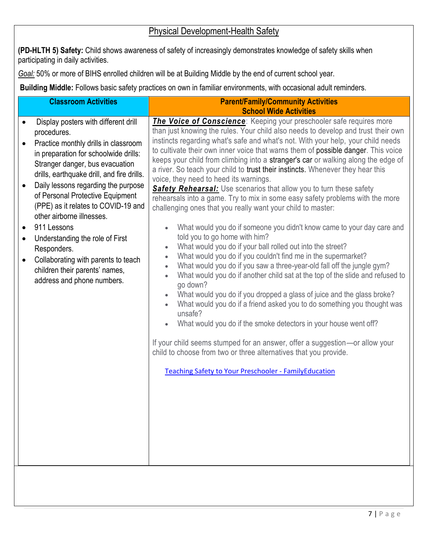## Physical Development-Health Safety

**(PD-HLTH 5) Safety:** Child shows awareness of safety of increasingly demonstrates knowledge of safety skills when participating in daily activities.

*Goal:* 50% or more of BIHS enrolled children will be at Building Middle by the end of current school year.

**Building Middle:** Follows basic safety practices on own in familiar environments, with occasional adult reminders.

| The Voice of Conscience: Keeping your preschooler safe requires more<br>Display posters with different drill<br>than just knowing the rules. Your child also needs to develop and trust their own<br>procedures.<br>instincts regarding what's safe and what's not. With your help, your child needs<br>Practice monthly drills in classroom<br>to cultivate their own inner voice that warns them of possible danger. This voice<br>in preparation for schoolwide drills:<br>keeps your child from climbing into a stranger's car or walking along the edge of<br>Stranger danger, bus evacuation<br>a river. So teach your child to trust their instincts. Whenever they hear this<br>drills, earthquake drill, and fire drills.<br>voice, they need to heed its warnings.<br>Daily lessons regarding the purpose<br>Safety Rehearsal: Use scenarios that allow you to turn these safety<br>of Personal Protective Equipment<br>rehearsals into a game. Try to mix in some easy safety problems with the more<br>(PPE) as it relates to COVID-19 and<br>challenging ones that you really want your child to master:<br>other airborne illnesses.<br>911 Lessons<br>What would you do if someone you didn't know came to your day care and<br>$\bullet$<br>told you to go home with him?<br>Understanding the role of First<br>What would you do if your ball rolled out into the street?<br>$\bullet$<br>Responders.<br>What would you do if you couldn't find me in the supermarket?<br>$\bullet$<br>Collaborating with parents to teach<br>What would you do if you saw a three-year-old fall off the jungle gym?<br>$\bullet$<br>children their parents' names,<br>What would you do if another child sat at the top of the slide and refused to<br>$\bullet$<br>address and phone numbers.<br>go down?<br>What would you do if you dropped a glass of juice and the glass broke?<br>$\bullet$<br>What would you do if a friend asked you to do something you thought was<br>unsafe?<br>What would you do if the smoke detectors in your house went off?<br>$\bullet$<br>If your child seems stumped for an answer, offer a suggestion-or allow your<br>child to choose from two or three alternatives that you provide. | <b>Classroom Activities</b> | <b>Parent/Family/Community Activities</b><br><b>School Wide Activities</b> |
|-------------------------------------------------------------------------------------------------------------------------------------------------------------------------------------------------------------------------------------------------------------------------------------------------------------------------------------------------------------------------------------------------------------------------------------------------------------------------------------------------------------------------------------------------------------------------------------------------------------------------------------------------------------------------------------------------------------------------------------------------------------------------------------------------------------------------------------------------------------------------------------------------------------------------------------------------------------------------------------------------------------------------------------------------------------------------------------------------------------------------------------------------------------------------------------------------------------------------------------------------------------------------------------------------------------------------------------------------------------------------------------------------------------------------------------------------------------------------------------------------------------------------------------------------------------------------------------------------------------------------------------------------------------------------------------------------------------------------------------------------------------------------------------------------------------------------------------------------------------------------------------------------------------------------------------------------------------------------------------------------------------------------------------------------------------------------------------------------------------------------------------------------------------------------------------------------------------------------------|-----------------------------|----------------------------------------------------------------------------|
| <b>Teaching Safety to Your Preschooler - FamilyEducation</b>                                                                                                                                                                                                                                                                                                                                                                                                                                                                                                                                                                                                                                                                                                                                                                                                                                                                                                                                                                                                                                                                                                                                                                                                                                                                                                                                                                                                                                                                                                                                                                                                                                                                                                                                                                                                                                                                                                                                                                                                                                                                                                                                                                  |                             |                                                                            |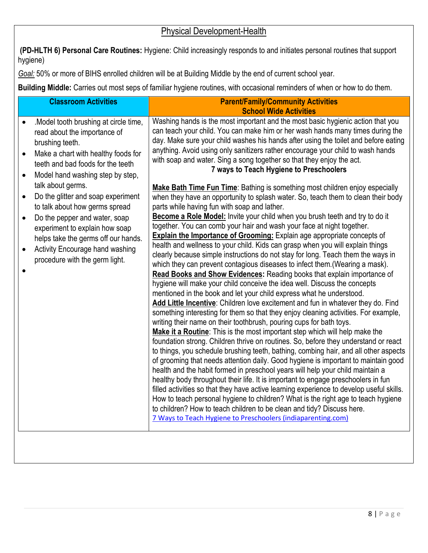# Physical Development-Health

**(PD-HLTH 6) Personal Care Routines:** Hygiene: Child increasingly responds to and initiates personal routines that support hygiene)

*Goal:* 50% or more of BIHS enrolled children will be at Building Middle by the end of current school year.

**Building Middle:** Carries out most seps of familiar hygiene routines, with occasional reminders of when or how to do them.

| <b>Classroom Activities</b>                                                                                                                                                                                                                                                                                                                                                                                                                                                                                           | <b>Parent/Family/Community Activities</b>                                                                                                                                                                                                                                                                                                                                                                                                                                                                                                                                                                                                                                                                                                                                                                                                                                                                                                                                                                                                                                                                                                                                                                                                                                                                                                                                                                                                                                                                                                                                                                                                                                                                                                                                                                                                                                                                                                                                                                                                                                                                                                                                                                                            |
|-----------------------------------------------------------------------------------------------------------------------------------------------------------------------------------------------------------------------------------------------------------------------------------------------------------------------------------------------------------------------------------------------------------------------------------------------------------------------------------------------------------------------|--------------------------------------------------------------------------------------------------------------------------------------------------------------------------------------------------------------------------------------------------------------------------------------------------------------------------------------------------------------------------------------------------------------------------------------------------------------------------------------------------------------------------------------------------------------------------------------------------------------------------------------------------------------------------------------------------------------------------------------------------------------------------------------------------------------------------------------------------------------------------------------------------------------------------------------------------------------------------------------------------------------------------------------------------------------------------------------------------------------------------------------------------------------------------------------------------------------------------------------------------------------------------------------------------------------------------------------------------------------------------------------------------------------------------------------------------------------------------------------------------------------------------------------------------------------------------------------------------------------------------------------------------------------------------------------------------------------------------------------------------------------------------------------------------------------------------------------------------------------------------------------------------------------------------------------------------------------------------------------------------------------------------------------------------------------------------------------------------------------------------------------------------------------------------------------------------------------------------------------|
| .Model tooth brushing at circle time,<br>read about the importance of<br>brushing teeth.<br>Make a chart with healthy foods for<br>teeth and bad foods for the teeth<br>Model hand washing step by step,<br>$\bullet$<br>talk about germs.<br>Do the glitter and soap experiment<br>$\bullet$<br>to talk about how germs spread<br>Do the pepper and water, soap<br>experiment to explain how soap<br>helps take the germs off our hands.<br><b>Activity Encourage hand washing</b><br>procedure with the germ light. | <b>School Wide Activities</b><br>Washing hands is the most important and the most basic hygienic action that you<br>can teach your child. You can make him or her wash hands many times during the<br>day. Make sure your child washes his hands after using the toilet and before eating<br>anything. Avoid using only sanitizers rather encourage your child to wash hands<br>with soap and water. Sing a song together so that they enjoy the act.<br>7 ways to Teach Hygiene to Preschoolers<br>Make Bath Time Fun Time: Bathing is something most children enjoy especially<br>when they have an opportunity to splash water. So, teach them to clean their body<br>parts while having fun with soap and lather.<br>Become a Role Model: Invite your child when you brush teeth and try to do it<br>together. You can comb your hair and wash your face at night together.<br><b>Explain the Importance of Grooming:</b> Explain age appropriate concepts of<br>health and wellness to your child. Kids can grasp when you will explain things<br>clearly because simple instructions do not stay for long. Teach them the ways in<br>which they can prevent contagious diseases to infect them. (Wearing a mask).<br>Read Books and Show Evidences: Reading books that explain importance of<br>hygiene will make your child conceive the idea well. Discuss the concepts<br>mentioned in the book and let your child express what he understood.<br>Add Little Incentive: Children love excitement and fun in whatever they do. Find<br>something interesting for them so that they enjoy cleaning activities. For example,<br>writing their name on their toothbrush, pouring cups for bath toys.<br>Make it a Routine: This is the most important step which will help make the<br>foundation strong. Children thrive on routines. So, before they understand or react<br>to things, you schedule brushing teeth, bathing, combing hair, and all other aspects<br>of grooming that needs attention daily. Good hygiene is important to maintain good<br>health and the habit formed in preschool years will help your child maintain a<br>healthy body throughout their life. It is important to engage preschoolers in fun |
|                                                                                                                                                                                                                                                                                                                                                                                                                                                                                                                       | filled activities so that they have active learning experience to develop useful skills.<br>How to teach personal hygiene to children? What is the right age to teach hygiene<br>to children? How to teach children to be clean and tidy? Discuss here.<br>7 Ways to Teach Hygiene to Preschoolers (indiaparenting.com)                                                                                                                                                                                                                                                                                                                                                                                                                                                                                                                                                                                                                                                                                                                                                                                                                                                                                                                                                                                                                                                                                                                                                                                                                                                                                                                                                                                                                                                                                                                                                                                                                                                                                                                                                                                                                                                                                                              |